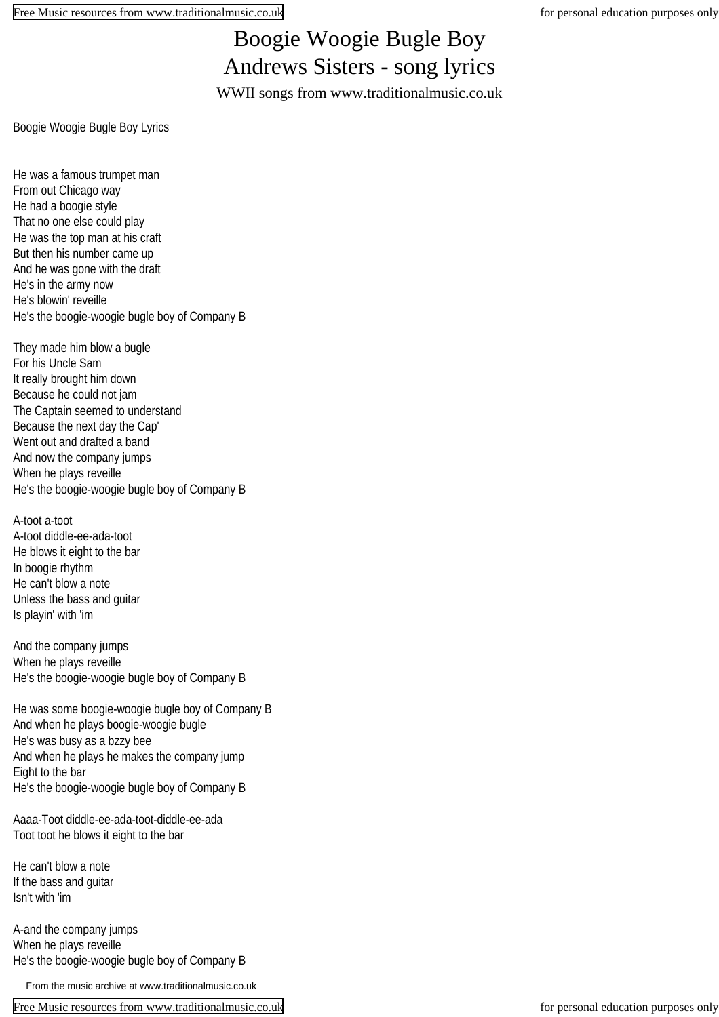## Boogie Woogie Bugle Boy Andrews Sisters - song lyrics

WWII songs from www.traditionalmusic.co.uk

Boogie Woogie Bugle Boy Lyrics

He was a famous trumpet man From out Chicago way He had a boogie style That no one else could play He was the top man at his craft But then his number came up And he was gone with the draft He's in the army now He's blowin' reveille He's the boogie-woogie bugle boy of Company B

They made him blow a bugle For his Uncle Sam It really brought him down Because he could not jam The Captain seemed to understand Because the next day the Cap' Went out and drafted a band And now the company jumps When he plays reveille He's the boogie-woogie bugle boy of Company B

A-toot a-toot A-toot diddle-ee-ada-toot He blows it eight to the bar In boogie rhythm He can't blow a note Unless the bass and guitar Is playin' with 'im

And the company jumps When he plays reveille He's the boogie-woogie bugle boy of Company B

He was some boogie-woogie bugle boy of Company B And when he plays boogie-woogie bugle He's was busy as a bzzy bee And when he plays he makes the company jump Eight to the bar He's the boogie-woogie bugle boy of Company B

Aaaa-Toot diddle-ee-ada-toot-diddle-ee-ada Toot toot he blows it eight to the bar

He can't blow a note If the bass and guitar Isn't with 'im

A-and the company jumps When he plays reveille He's the boogie-woogie bugle boy of Company B

From the music archive at www.traditionalmusic.co.uk